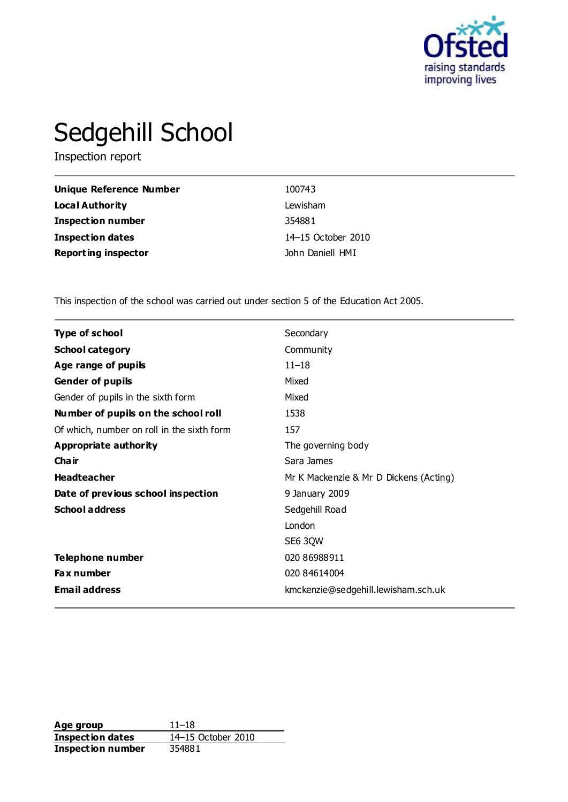

# Sedgehill School

Inspection report

| Unique Reference Number    | 100743             |
|----------------------------|--------------------|
| Local Authority            | Lewisham           |
| <b>Inspection number</b>   | 354881             |
| <b>Inspection dates</b>    | 14–15 October 2010 |
| <b>Reporting inspector</b> | John Daniell HMI   |

This inspection of the school was carried out under section 5 of the Education Act 2005.

| Type of school                             | Secondary                              |
|--------------------------------------------|----------------------------------------|
| <b>School category</b>                     | Community                              |
| Age range of pupils                        | $11 - 18$                              |
| <b>Gender of pupils</b>                    | Mixed                                  |
| Gender of pupils in the sixth form         | Mixed                                  |
| Number of pupils on the school roll        | 1538                                   |
| Of which, number on roll in the sixth form | 157                                    |
| <b>Appropriate authority</b>               | The governing body                     |
| Cha ir                                     | Sara James                             |
| <b>Headteacher</b>                         | Mr K Mackenzie & Mr D Dickens (Acting) |
| Date of previous school inspection         | 9 January 2009                         |
| <b>School address</b>                      | Sedgehill Road                         |
|                                            | London                                 |
|                                            | SE6 3QW                                |
| <b>Telephone number</b>                    | 020 86988911                           |
| <b>Fax number</b>                          | 020 84614004                           |
| <b>Email address</b>                       | kmckenzie@sedgehill.lewisham.sch.uk    |

**Age group** 11–18<br> **Inspection dates** 14–15 October 2010 **Inspection dates Inspection number** 354881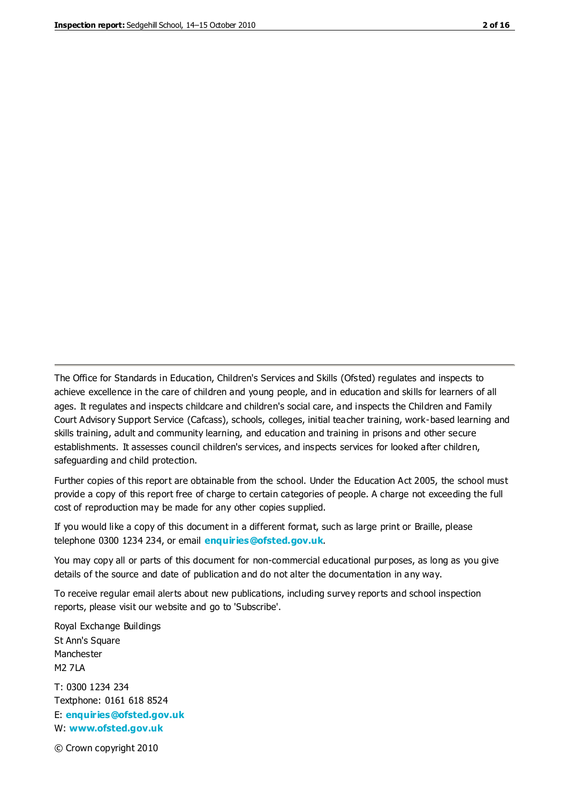The Office for Standards in Education, Children's Services and Skills (Ofsted) regulates and inspects to achieve excellence in the care of children and young people, and in education and skills for learners of all ages. It regulates and inspects childcare and children's social care, and inspects the Children and Family Court Advisory Support Service (Cafcass), schools, colleges, initial teacher training, work-based learning and skills training, adult and community learning, and education and training in prisons and other secure establishments. It assesses council children's services, and inspects services for looked after children, safeguarding and child protection.

Further copies of this report are obtainable from the school. Under the Education Act 2005, the school must provide a copy of this report free of charge to certain categories of people. A charge not exceeding the full cost of reproduction may be made for any other copies supplied.

If you would like a copy of this document in a different format, such as large print or Braille, please telephone 0300 1234 234, or email **[enquiries@ofsted.gov.uk](mailto:enquiries@ofsted.gov.uk)**.

You may copy all or parts of this document for non-commercial educational purposes, as long as you give details of the source and date of publication and do not alter the documentation in any way.

To receive regular email alerts about new publications, including survey reports and school inspection reports, please visit our website and go to 'Subscribe'.

Royal Exchange Buildings St Ann's Square Manchester M2 7LA T: 0300 1234 234 Textphone: 0161 618 8524 E: **[enquiries@ofsted.gov.uk](mailto:enquiries@ofsted.gov.uk)** W: **[www.ofsted.gov.uk](http://www.ofsted.gov.uk/)**

© Crown copyright 2010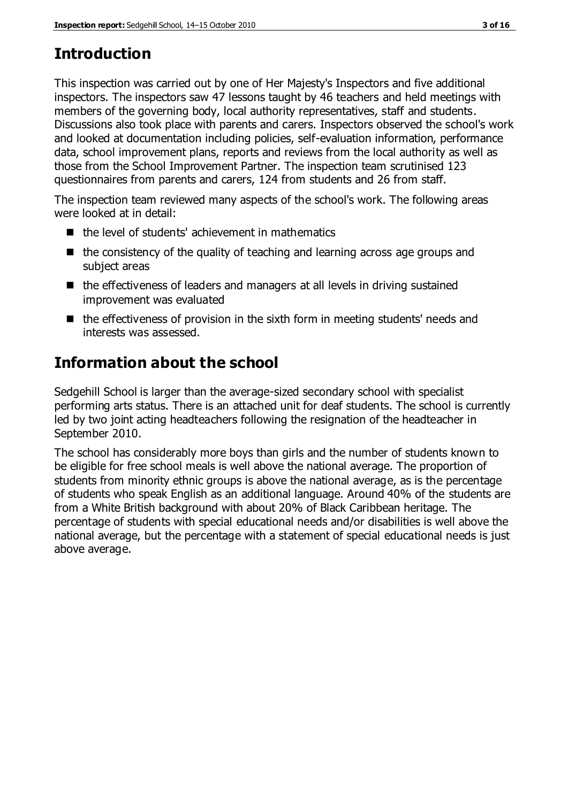# **Introduction**

This inspection was carried out by one of Her Majesty's Inspectors and five additional inspectors. The inspectors saw 47 lessons taught by 46 teachers and held meetings with members of the governing body, local authority representatives, staff and students. Discussions also took place with parents and carers. Inspectors observed the school's work and looked at documentation including policies, self-evaluation information, performance data, school improvement plans, reports and reviews from the local authority as well as those from the School Improvement Partner. The inspection team scrutinised 123 questionnaires from parents and carers, 124 from students and 26 from staff.

The inspection team reviewed many aspects of the school's work. The following areas were looked at in detail:

- $\blacksquare$  the level of students' achievement in mathematics
- $\blacksquare$  the consistency of the quality of teaching and learning across age groups and subject areas
- the effectiveness of leaders and managers at all levels in driving sustained improvement was evaluated
- $\blacksquare$  the effectiveness of provision in the sixth form in meeting students' needs and interests was assessed.

# **Information about the school**

Sedgehill School is larger than the average-sized secondary school with specialist performing arts status. There is an attached unit for deaf students. The school is currently led by two joint acting headteachers following the resignation of the headteacher in September 2010.

The school has considerably more boys than girls and the number of students known to be eligible for free school meals is well above the national average. The proportion of students from minority ethnic groups is above the national average, as is the percentage of students who speak English as an additional language. Around 40% of the students are from a White British background with about 20% of Black Caribbean heritage. The percentage of students with special educational needs and/or disabilities is well above the national average, but the percentage with a statement of special educational needs is just above average.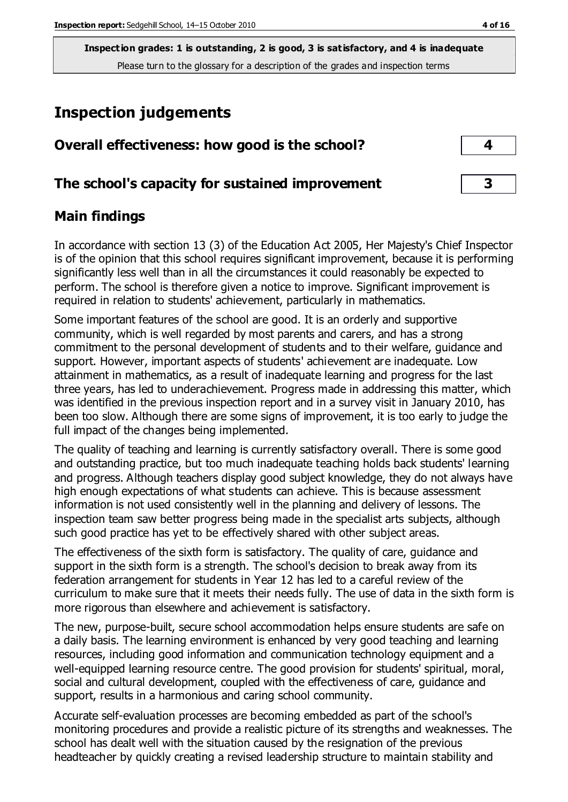# **Inspection judgements**

| Overall effectiveness: how good is the school?  |  |
|-------------------------------------------------|--|
| The school's capacity for sustained improvement |  |

#### **Main findings**

In accordance with section 13 (3) of the Education Act 2005, Her Majesty's Chief Inspector is of the opinion that this school requires significant improvement, because it is performing significantly less well than in all the circumstances it could reasonably be expected to perform. The school is therefore given a notice to improve. Significant improvement is required in relation to students' achievement, particularly in mathematics.

Some important features of the school are good. It is an orderly and supportive community, which is well regarded by most parents and carers, and has a strong commitment to the personal development of students and to their welfare, guidance and support. However, important aspects of students' achievement are inadequate. Low attainment in mathematics, as a result of inadequate learning and progress for the last three years, has led to underachievement. Progress made in addressing this matter, which was identified in the previous inspection report and in a survey visit in January 2010, has been too slow. Although there are some signs of improvement, it is too early to judge the full impact of the changes being implemented.

The quality of teaching and learning is currently satisfactory overall. There is some good and outstanding practice, but too much inadequate teaching holds back students' learning and progress. Although teachers display good subject knowledge, they do not always have high enough expectations of what students can achieve. This is because assessment information is not used consistently well in the planning and delivery of lessons. The inspection team saw better progress being made in the specialist arts subjects, although such good practice has yet to be effectively shared with other subject areas.

The effectiveness of the sixth form is satisfactory. The quality of care, guidance and support in the sixth form is a strength. The school's decision to break away from its federation arrangement for students in Year 12 has led to a careful review of the curriculum to make sure that it meets their needs fully. The use of data in the sixth form is more rigorous than elsewhere and achievement is satisfactory.

The new, purpose-built, secure school accommodation helps ensure students are safe on a daily basis. The learning environment is enhanced by very good teaching and learning resources, including good information and communication technology equipment and a well-equipped learning resource centre. The good provision for students' spiritual, moral, social and cultural development, coupled with the effectiveness of care, guidance and support, results in a harmonious and caring school community.

Accurate self-evaluation processes are becoming embedded as part of the school's monitoring procedures and provide a realistic picture of its strengths and weaknesses. The school has dealt well with the situation caused by the resignation of the previous headteacher by quickly creating a revised leadership structure to maintain stability and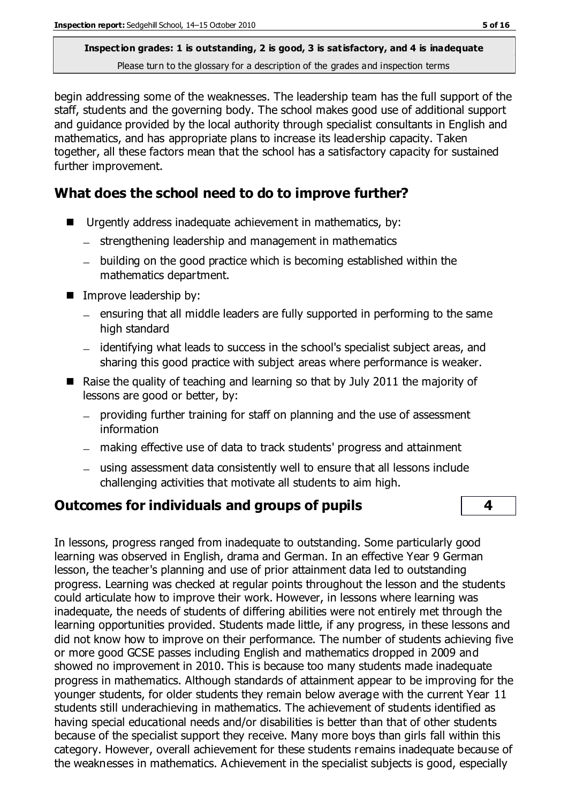begin addressing some of the weaknesses. The leadership team has the full support of the staff, students and the governing body. The school makes good use of additional support and guidance provided by the local authority through specialist consultants in English and mathematics, and has appropriate plans to increase its leadership capacity. Taken together, all these factors mean that the school has a satisfactory capacity for sustained further improvement.

## **What does the school need to do to improve further?**

- Urgently address inadequate achievement in mathematics, by:
	- $-$  strengthening leadership and management in mathematics
	- building on the good practice which is becoming established within the mathematics department.
- **IMPROVE leadership by:** 
	- $-$  ensuring that all middle leaders are fully supported in performing to the same high standard
	- identifying what leads to success in the school's specialist subject areas, and sharing this good practice with subject areas where performance is weaker.
- Raise the quality of teaching and learning so that by July 2011 the majority of lessons are good or better, by:
	- providing further training for staff on planning and the use of assessment information
	- making effective use of data to track students' progress and attainment
	- using assessment data consistently well to ensure that all lessons include challenging activities that motivate all students to aim high.

#### **Outcomes for individuals and groups of pupils 4**

In lessons, progress ranged from inadequate to outstanding. Some particularly good learning was observed in English, drama and German. In an effective Year 9 German lesson, the teacher's planning and use of prior attainment data led to outstanding progress. Learning was checked at regular points throughout the lesson and the students could articulate how to improve their work. However, in lessons where learning was inadequate, the needs of students of differing abilities were not entirely met through the learning opportunities provided. Students made little, if any progress, in these lessons and did not know how to improve on their performance. The number of students achieving five or more good GCSE passes including English and mathematics dropped in 2009 and showed no improvement in 2010. This is because too many students made inadequate progress in mathematics. Although standards of attainment appear to be improving for the younger students, for older students they remain below average with the current Year 11 students still underachieving in mathematics. The achievement of students identified as having special educational needs and/or disabilities is better than that of other students because of the specialist support they receive. Many more boys than girls fall within this category. However, overall achievement for these students remains inadequate because of the weaknesses in mathematics. Achievement in the specialist subjects is good, especially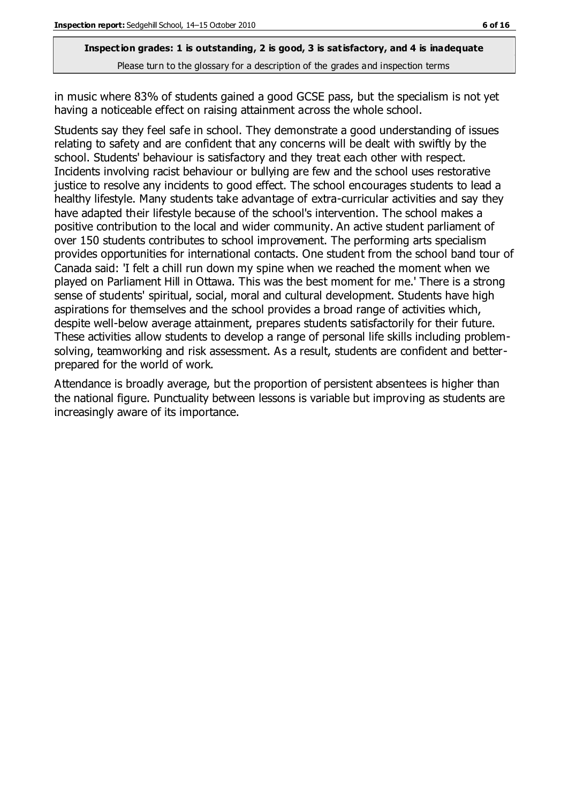in music where 83% of students gained a good GCSE pass, but the specialism is not yet having a noticeable effect on raising attainment across the whole school.

Students say they feel safe in school. They demonstrate a good understanding of issues relating to safety and are confident that any concerns will be dealt with swiftly by the school. Students' behaviour is satisfactory and they treat each other with respect. Incidents involving racist behaviour or bullying are few and the school uses restorative justice to resolve any incidents to good effect. The school encourages students to lead a healthy lifestyle. Many students take advantage of extra-curricular activities and say they have adapted their lifestyle because of the school's intervention. The school makes a positive contribution to the local and wider community. An active student parliament of over 150 students contributes to school improvement. The performing arts specialism provides opportunities for international contacts. One student from the school band tour of Canada said: 'I felt a chill run down my spine when we reached the moment when we played on Parliament Hill in Ottawa. This was the best moment for me.' There is a strong sense of students' spiritual, social, moral and cultural development. Students have high aspirations for themselves and the school provides a broad range of activities which, despite well-below average attainment, prepares students satisfactorily for their future. These activities allow students to develop a range of personal life skills including problemsolving, teamworking and risk assessment. As a result, students are confident and betterprepared for the world of work.

Attendance is broadly average, but the proportion of persistent absentees is higher than the national figure. Punctuality between lessons is variable but improving as students are increasingly aware of its importance.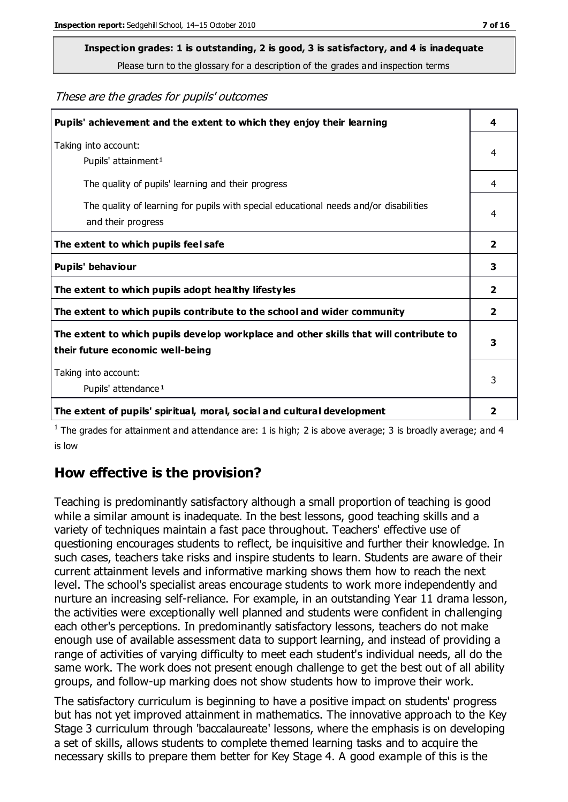# **Inspection grades: 1 is outstanding, 2 is good, 3 is satisfactory, and 4 is inadequate**

Please turn to the glossary for a description of the grades and inspection terms

#### These are the grades for pupils' outcomes

| Pupils' achievement and the extent to which they enjoy their learning                                                     | 4              |
|---------------------------------------------------------------------------------------------------------------------------|----------------|
| Taking into account:<br>Pupils' attainment <sup>1</sup>                                                                   | 4              |
| The quality of pupils' learning and their progress                                                                        | 4              |
| The quality of learning for pupils with special educational needs and/or disabilities<br>and their progress               | 4              |
| The extent to which pupils feel safe                                                                                      | $\mathbf{2}$   |
| Pupils' behaviour                                                                                                         | 3              |
| The extent to which pupils adopt healthy lifestyles                                                                       | 2              |
| The extent to which pupils contribute to the school and wider community                                                   | $\overline{2}$ |
| The extent to which pupils develop workplace and other skills that will contribute to<br>their future economic well-being | 3              |
| Taking into account:<br>Pupils' attendance <sup>1</sup>                                                                   | 3              |
| The extent of pupils' spiritual, moral, social and cultural development                                                   | $\overline{2}$ |

<sup>1</sup> The grades for attainment and attendance are: 1 is high; 2 is above average; 3 is broadly average; and 4 is low

#### **How effective is the provision?**

Teaching is predominantly satisfactory although a small proportion of teaching is good while a similar amount is inadequate. In the best lessons, good teaching skills and a variety of techniques maintain a fast pace throughout. Teachers' effective use of questioning encourages students to reflect, be inquisitive and further their knowledge. In such cases, teachers take risks and inspire students to learn. Students are aware of their current attainment levels and informative marking shows them how to reach the next level. The school's specialist areas encourage students to work more independently and nurture an increasing self-reliance. For example, in an outstanding Year 11 drama lesson, the activities were exceptionally well planned and students were confident in challenging each other's perceptions. In predominantly satisfactory lessons, teachers do not make enough use of available assessment data to support learning, and instead of providing a range of activities of varying difficulty to meet each student's individual needs, all do the same work. The work does not present enough challenge to get the best out of all ability groups, and follow-up marking does not show students how to improve their work.

The satisfactory curriculum is beginning to have a positive impact on students' progress but has not yet improved attainment in mathematics. The innovative approach to the Key Stage 3 curriculum through 'baccalaureate' lessons, where the emphasis is on developing a set of skills, allows students to complete themed learning tasks and to acquire the necessary skills to prepare them better for Key Stage 4. A good example of this is the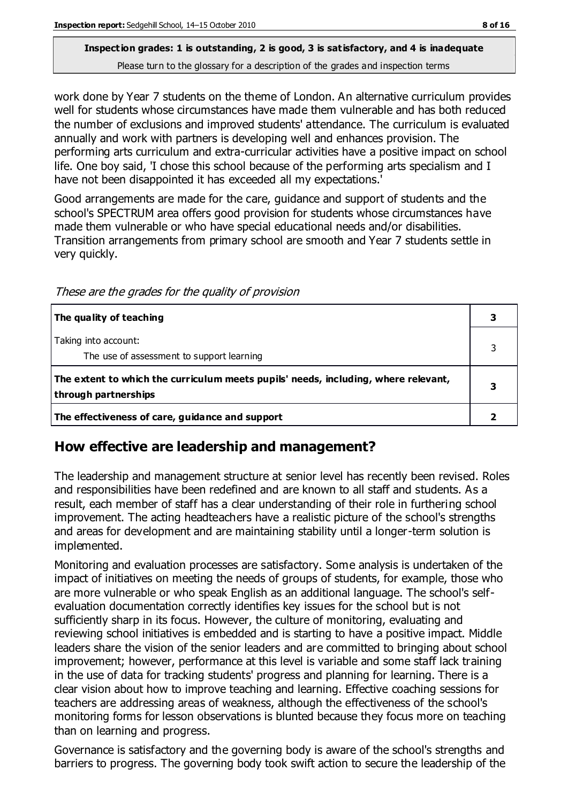#### **Inspection grades: 1 is outstanding, 2 is good, 3 is satisfactory, and 4 is inadequate**

Please turn to the glossary for a description of the grades and inspection terms

work done by Year 7 students on the theme of London. An alternative curriculum provides well for students whose circumstances have made them vulnerable and has both reduced the number of exclusions and improved students' attendance. The curriculum is evaluated annually and work with partners is developing well and enhances provision. The performing arts curriculum and extra-curricular activities have a positive impact on school life. One boy said, 'I chose this school because of the performing arts specialism and I have not been disappointed it has exceeded all my expectations.'

Good arrangements are made for the care, guidance and support of students and the school's SPECTRUM area offers good provision for students whose circumstances have made them vulnerable or who have special educational needs and/or disabilities. Transition arrangements from primary school are smooth and Year 7 students settle in very quickly.

These are the grades for the quality of provision

| The quality of teaching                                                                                    |  |
|------------------------------------------------------------------------------------------------------------|--|
| Taking into account:<br>The use of assessment to support learning                                          |  |
| The extent to which the curriculum meets pupils' needs, including, where relevant,<br>through partnerships |  |
| The effectiveness of care, guidance and support                                                            |  |

#### **How effective are leadership and management?**

The leadership and management structure at senior level has recently been revised. Roles and responsibilities have been redefined and are known to all staff and students. As a result, each member of staff has a clear understanding of their role in furthering school improvement. The acting headteachers have a realistic picture of the school's strengths and areas for development and are maintaining stability until a longer-term solution is implemented.

Monitoring and evaluation processes are satisfactory. Some analysis is undertaken of the impact of initiatives on meeting the needs of groups of students, for example, those who are more vulnerable or who speak English as an additional language. The school's selfevaluation documentation correctly identifies key issues for the school but is not sufficiently sharp in its focus. However, the culture of monitoring, evaluating and reviewing school initiatives is embedded and is starting to have a positive impact. Middle leaders share the vision of the senior leaders and are committed to bringing about school improvement; however, performance at this level is variable and some staff lack training in the use of data for tracking students' progress and planning for learning. There is a clear vision about how to improve teaching and learning. Effective coaching sessions for teachers are addressing areas of weakness, although the effectiveness of the school's monitoring forms for lesson observations is blunted because they focus more on teaching than on learning and progress.

Governance is satisfactory and the governing body is aware of the school's strengths and barriers to progress. The governing body took swift action to secure the leadership of the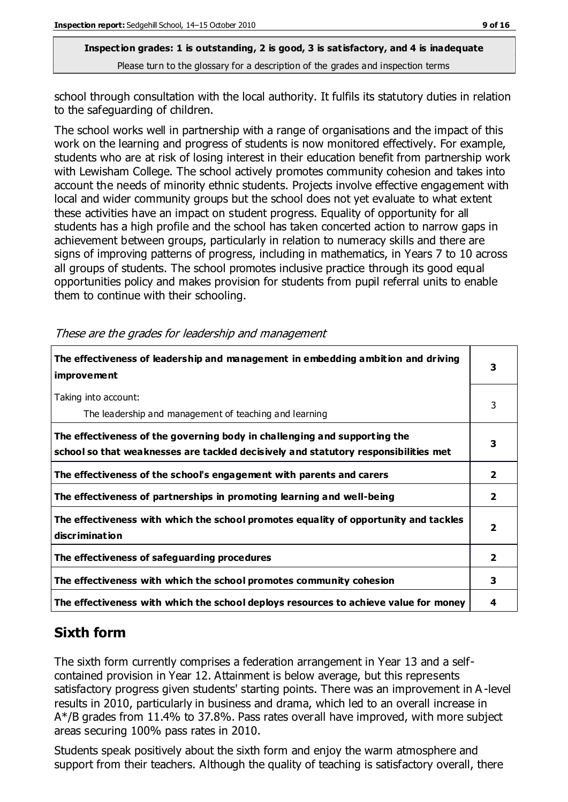school through consultation with the local authority. It fulfils its statutory duties in relation to the safeguarding of children.

The school works well in partnership with a range of organisations and the impact of this work on the learning and progress of students is now monitored effectively. For example, students who are at risk of losing interest in their education benefit from partnership work with Lewisham College. The school actively promotes community cohesion and takes into account the needs of minority ethnic students. Projects involve effective engagement with local and wider community groups but the school does not yet evaluate to what extent these activities have an impact on student progress. Equality of opportunity for all students has a high profile and the school has taken concerted action to narrow gaps in achievement between groups, particularly in relation to numeracy skills and there are signs of improving patterns of progress, including in mathematics, in Years 7 to 10 across all groups of students. The school promotes inclusive practice through its good equal opportunities policy and makes provision for students from pupil referral units to enable them to continue with their schooling.

| The effectiveness of leadership and management in embedding ambition and driving<br><i>improvement</i>                                                           | 3                       |
|------------------------------------------------------------------------------------------------------------------------------------------------------------------|-------------------------|
| Taking into account:<br>The leadership and management of teaching and learning                                                                                   | 3                       |
| The effectiveness of the governing body in challenging and supporting the<br>school so that weaknesses are tackled decisively and statutory responsibilities met | 3                       |
| The effectiveness of the school's engagement with parents and carers                                                                                             | 2                       |
| The effectiveness of partnerships in promoting learning and well-being                                                                                           | $\overline{2}$          |
| The effectiveness with which the school promotes equality of opportunity and tackles<br>discrimination                                                           | $\overline{\mathbf{2}}$ |
| The effectiveness of safeguarding procedures                                                                                                                     | $\overline{2}$          |
| The effectiveness with which the school promotes community cohesion                                                                                              | 3                       |
| The effectiveness with which the school deploys resources to achieve value for money                                                                             | 4                       |

These are the grades for leadership and management

# **Sixth form**

The sixth form currently comprises a federation arrangement in Year 13 and a selfcontained provision in Year 12. Attainment is below average, but this represents satisfactory progress given students' starting points. There was an improvement in A -level results in 2010, particularly in business and drama, which led to an overall increase in A\*/B grades from 11.4% to 37.8%. Pass rates overall have improved, with more subject areas securing 100% pass rates in 2010.

Students speak positively about the sixth form and enjoy the warm atmosphere and support from their teachers. Although the quality of teaching is satisfactory overall, there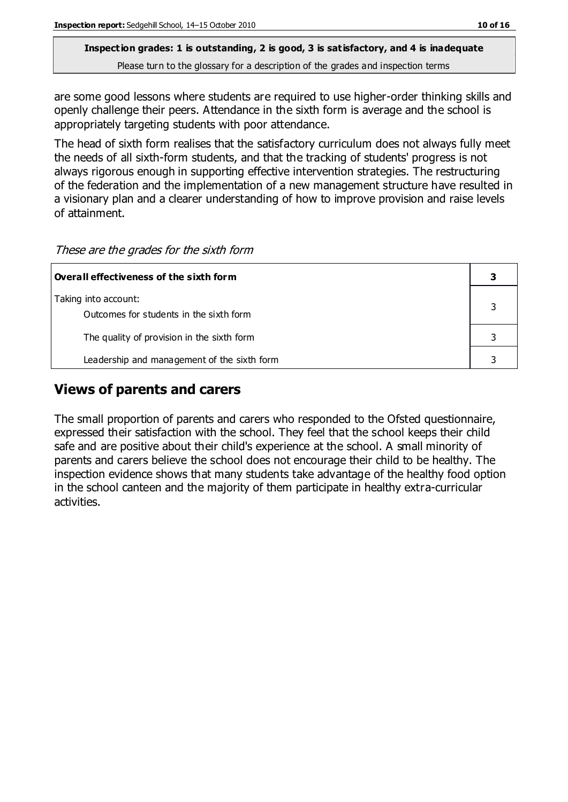are some good lessons where students are required to use higher-order thinking skills and openly challenge their peers. Attendance in the sixth form is average and the school is appropriately targeting students with poor attendance.

The head of sixth form realises that the satisfactory curriculum does not always fully meet the needs of all sixth-form students, and that the tracking of students' progress is not always rigorous enough in supporting effective intervention strategies. The restructuring of the federation and the implementation of a new management structure have resulted in a visionary plan and a clearer understanding of how to improve provision and raise levels of attainment.

These are the grades for the sixth form

| Overall effectiveness of the sixth form                         |  |
|-----------------------------------------------------------------|--|
| Taking into account:<br>Outcomes for students in the sixth form |  |
| The quality of provision in the sixth form                      |  |
| Leadership and management of the sixth form                     |  |

### **Views of parents and carers**

The small proportion of parents and carers who responded to the Ofsted questionnaire, expressed their satisfaction with the school. They feel that the school keeps their child safe and are positive about their child's experience at the school. A small minority of parents and carers believe the school does not encourage their child to be healthy. The inspection evidence shows that many students take advantage of the healthy food option in the school canteen and the majority of them participate in healthy extra-curricular activities.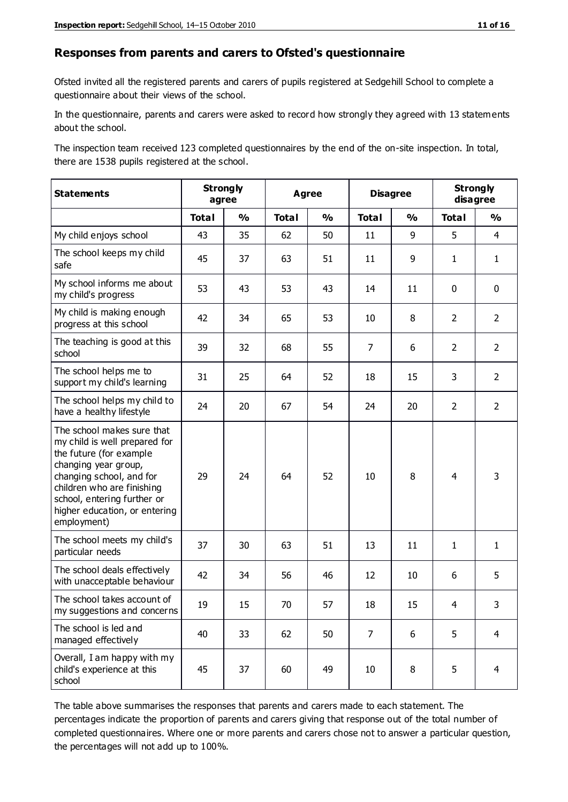#### **Responses from parents and carers to Ofsted's questionnaire**

Ofsted invited all the registered parents and carers of pupils registered at Sedgehill School to complete a questionnaire about their views of the school.

In the questionnaire, parents and carers were asked to record how strongly they agreed with 13 statements about the school.

The inspection team received 123 completed questionnaires by the end of the on-site inspection. In total, there are 1538 pupils registered at the school.

| <b>Statements</b>                                                                                                                                                                                                                                       |              | <b>Strongly</b><br><b>Agree</b><br>agree |              | <b>Disagree</b> |                |               | <b>Strongly</b><br>disagree |                |
|---------------------------------------------------------------------------------------------------------------------------------------------------------------------------------------------------------------------------------------------------------|--------------|------------------------------------------|--------------|-----------------|----------------|---------------|-----------------------------|----------------|
|                                                                                                                                                                                                                                                         | <b>Total</b> | $\frac{1}{2}$                            | <b>Total</b> | $\frac{1}{2}$   | <b>Total</b>   | $\frac{1}{2}$ | <b>Total</b>                | $\frac{1}{2}$  |
| My child enjoys school                                                                                                                                                                                                                                  | 43           | 35                                       | 62           | 50              | 11             | 9             | 5                           | $\overline{4}$ |
| The school keeps my child<br>safe                                                                                                                                                                                                                       | 45           | 37                                       | 63           | 51              | 11             | 9             | $\mathbf{1}$                | $\mathbf{1}$   |
| My school informs me about<br>my child's progress                                                                                                                                                                                                       | 53           | 43                                       | 53           | 43              | 14             | 11            | $\mathbf 0$                 | $\mathbf 0$    |
| My child is making enough<br>progress at this school                                                                                                                                                                                                    | 42           | 34                                       | 65           | 53              | 10             | 8             | $\overline{2}$              | $\overline{2}$ |
| The teaching is good at this<br>school                                                                                                                                                                                                                  | 39           | 32                                       | 68           | 55              | 7              | 6             | $\overline{2}$              | $\overline{2}$ |
| The school helps me to<br>support my child's learning                                                                                                                                                                                                   | 31           | 25                                       | 64           | 52              | 18             | 15            | 3                           | $\overline{2}$ |
| The school helps my child to<br>have a healthy lifestyle                                                                                                                                                                                                | 24           | 20                                       | 67           | 54              | 24             | 20            | $\overline{2}$              | $\overline{2}$ |
| The school makes sure that<br>my child is well prepared for<br>the future (for example<br>changing year group,<br>changing school, and for<br>children who are finishing<br>school, entering further or<br>higher education, or entering<br>employment) | 29           | 24                                       | 64           | 52              | 10             | 8             | $\overline{4}$              | 3              |
| The school meets my child's<br>particular needs                                                                                                                                                                                                         | 37           | 30                                       | 63           | 51              | 13             | 11            | $\mathbf{1}$                | $\mathbf{1}$   |
| The school deals effectively<br>with unacceptable behaviour                                                                                                                                                                                             | 42           | 34                                       | 56           | 46              | 12             | 10            | 6                           | 5              |
| The school takes account of<br>my suggestions and concerns                                                                                                                                                                                              | 19           | 15                                       | 70           | 57              | 18             | 15            | $\overline{4}$              | 3              |
| The school is led and<br>managed effectively                                                                                                                                                                                                            | 40           | 33                                       | 62           | 50              | $\overline{7}$ | 6             | 5                           | $\overline{4}$ |
| Overall, I am happy with my<br>child's experience at this<br>school                                                                                                                                                                                     | 45           | 37                                       | 60           | 49              | 10             | 8             | 5                           | 4              |

The table above summarises the responses that parents and carers made to each statement. The percentages indicate the proportion of parents and carers giving that response out of the total number of completed questionnaires. Where one or more parents and carers chose not to answer a particular question, the percentages will not add up to 100%.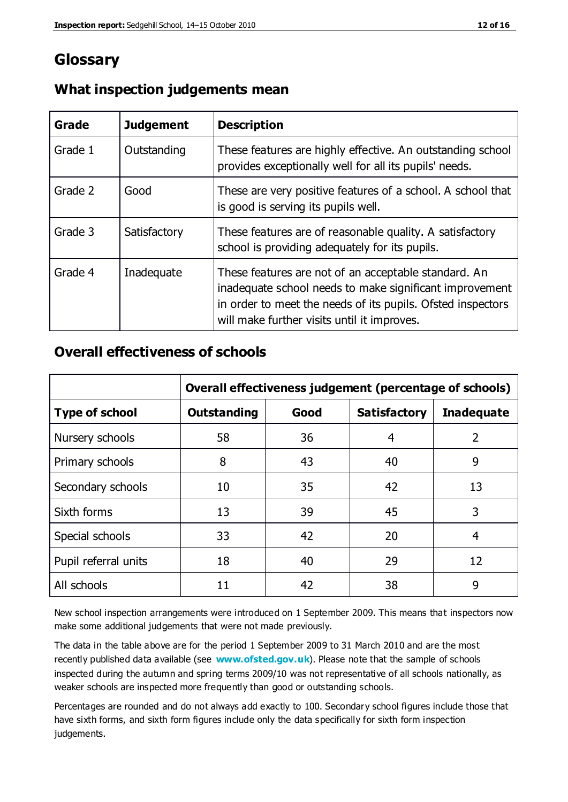# **Glossary**

| Grade   | <b>Judgement</b> | <b>Description</b>                                                                                                                                                                                                            |
|---------|------------------|-------------------------------------------------------------------------------------------------------------------------------------------------------------------------------------------------------------------------------|
| Grade 1 | Outstanding      | These features are highly effective. An outstanding school<br>provides exceptionally well for all its pupils' needs.                                                                                                          |
| Grade 2 | Good             | These are very positive features of a school. A school that<br>is good is serving its pupils well.                                                                                                                            |
| Grade 3 | Satisfactory     | These features are of reasonable quality. A satisfactory<br>school is providing adequately for its pupils.                                                                                                                    |
| Grade 4 | Inadequate       | These features are not of an acceptable standard. An<br>inadequate school needs to make significant improvement<br>in order to meet the needs of its pupils. Ofsted inspectors<br>will make further visits until it improves. |

#### **What inspection judgements mean**

#### **Overall effectiveness of schools**

|                       | Overall effectiveness judgement (percentage of schools) |      |                     |                   |
|-----------------------|---------------------------------------------------------|------|---------------------|-------------------|
| <b>Type of school</b> | <b>Outstanding</b>                                      | Good | <b>Satisfactory</b> | <b>Inadequate</b> |
| Nursery schools       | 58                                                      | 36   | 4                   | 2                 |
| Primary schools       | 8                                                       | 43   | 40                  | 9                 |
| Secondary schools     | 10                                                      | 35   | 42                  | 13                |
| Sixth forms           | 13                                                      | 39   | 45                  | 3                 |
| Special schools       | 33                                                      | 42   | 20                  | 4                 |
| Pupil referral units  | 18                                                      | 40   | 29                  | 12                |
| All schools           | 11                                                      | 42   | 38                  | 9                 |

New school inspection arrangements were introduced on 1 September 2009. This means that inspectors now make some additional judgements that were not made previously.

The data in the table above are for the period 1 September 2009 to 31 March 2010 and are the most recently published data available (see **[www.ofsted.gov.uk](http://www.ofsted.gov.uk/)**). Please note that the sample of schools inspected during the autumn and spring terms 2009/10 was not representative of all schools nationally, as weaker schools are inspected more frequently than good or outstanding schools.

Percentages are rounded and do not always add exactly to 100. Secondary school figures include those that have sixth forms, and sixth form figures include only the data specifically for sixth form inspection judgements.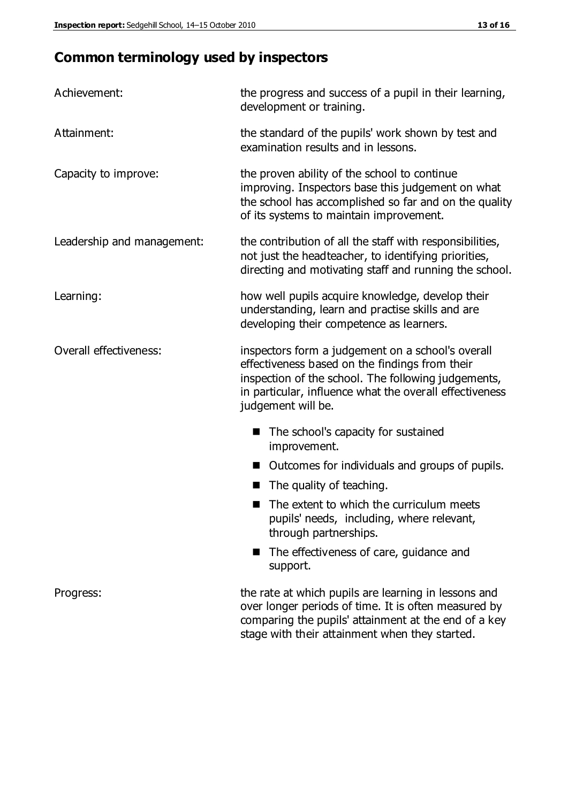# **Common terminology used by inspectors**

| Achievement:               | the progress and success of a pupil in their learning,<br>development or training.                                                                                                                                                          |  |  |
|----------------------------|---------------------------------------------------------------------------------------------------------------------------------------------------------------------------------------------------------------------------------------------|--|--|
| Attainment:                | the standard of the pupils' work shown by test and<br>examination results and in lessons.                                                                                                                                                   |  |  |
| Capacity to improve:       | the proven ability of the school to continue<br>improving. Inspectors base this judgement on what<br>the school has accomplished so far and on the quality<br>of its systems to maintain improvement.                                       |  |  |
| Leadership and management: | the contribution of all the staff with responsibilities,<br>not just the headteacher, to identifying priorities,<br>directing and motivating staff and running the school.                                                                  |  |  |
| Learning:                  | how well pupils acquire knowledge, develop their<br>understanding, learn and practise skills and are<br>developing their competence as learners.                                                                                            |  |  |
| Overall effectiveness:     | inspectors form a judgement on a school's overall<br>effectiveness based on the findings from their<br>inspection of the school. The following judgements,<br>in particular, influence what the overall effectiveness<br>judgement will be. |  |  |
|                            | The school's capacity for sustained<br>improvement.                                                                                                                                                                                         |  |  |
|                            | Outcomes for individuals and groups of pupils.                                                                                                                                                                                              |  |  |
|                            | The quality of teaching.                                                                                                                                                                                                                    |  |  |
|                            | The extent to which the curriculum meets<br>pupils' needs, including, where relevant,<br>through partnerships.                                                                                                                              |  |  |
|                            | The effectiveness of care, guidance and<br>support.                                                                                                                                                                                         |  |  |
| Progress:                  | the rate at which pupils are learning in lessons and<br>over longer periods of time. It is often measured by<br>comparing the pupils' attainment at the end of a key                                                                        |  |  |

stage with their attainment when they started.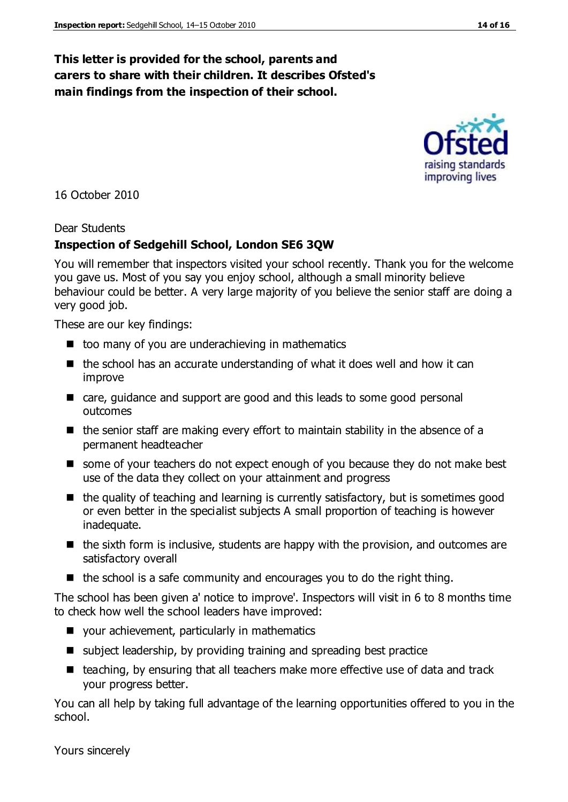#### **This letter is provided for the school, parents and carers to share with their children. It describes Ofsted's main findings from the inspection of their school.**

16 October 2010

#### Dear Students

#### **Inspection of Sedgehill School, London SE6 3QW**

You will remember that inspectors visited your school recently. Thank you for the welcome you gave us. Most of you say you enjoy school, although a small minority believe behaviour could be better. A very large majority of you believe the senior staff are doing a very good job.

These are our key findings:

- $\blacksquare$  too many of you are underachieving in mathematics
- $\blacksquare$  the school has an accurate understanding of what it does well and how it can improve
- care, guidance and support are good and this leads to some good personal outcomes
- $\blacksquare$  the senior staff are making every effort to maintain stability in the absence of a permanent headteacher
- some of your teachers do not expect enough of you because they do not make best use of the data they collect on your attainment and progress
- $\blacksquare$  the quality of teaching and learning is currently satisfactory, but is sometimes good or even better in the specialist subjects A small proportion of teaching is however inadequate.
- $\blacksquare$  the sixth form is inclusive, students are happy with the provision, and outcomes are satisfactory overall
- $\blacksquare$  the school is a safe community and encourages you to do the right thing.

The school has been given a' notice to improve'. Inspectors will visit in 6 to 8 months time to check how well the school leaders have improved:

- your achievement, particularly in mathematics
- subject leadership, by providing training and spreading best practice
- teaching, by ensuring that all teachers make more effective use of data and track your progress better.

You can all help by taking full advantage of the learning opportunities offered to you in the school.

Yours sincerely

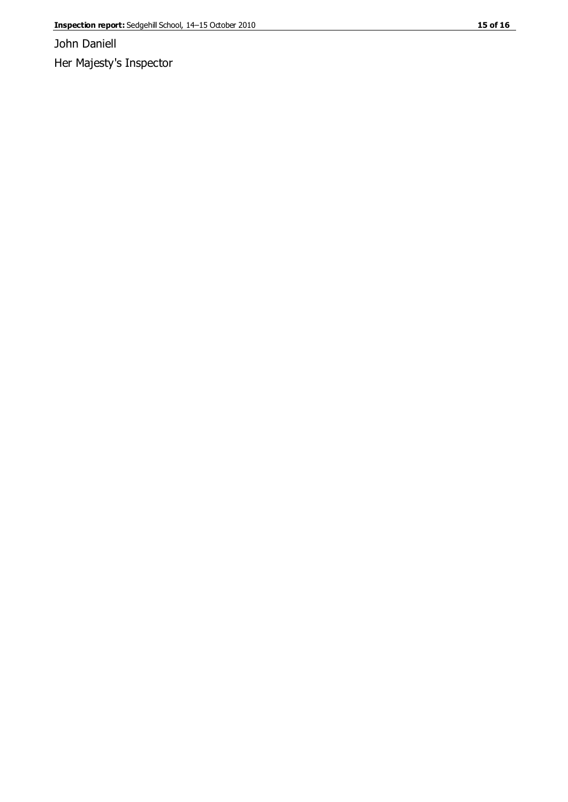John Daniell Her Majesty's Inspector